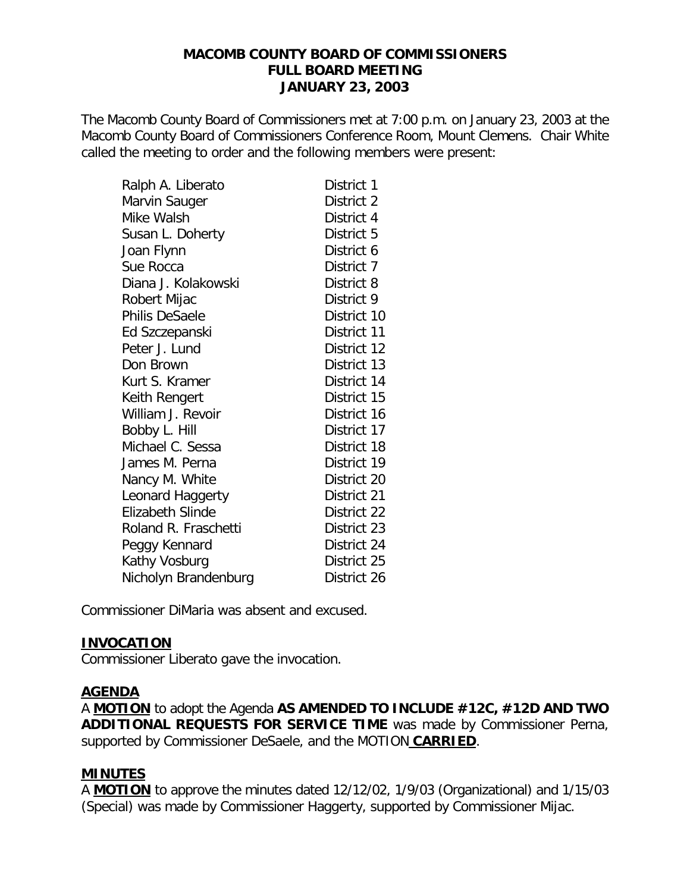#### **MACOMB COUNTY BOARD OF COMMISSIONERS FULL BOARD MEETING JANUARY 23, 2003**

The Macomb County Board of Commissioners met at 7:00 p.m. on January 23, 2003 at the Macomb County Board of Commissioners Conference Room, Mount Clemens. Chair White called the meeting to order and the following members were present:

| Ralph A. Liberato       | District 1  |
|-------------------------|-------------|
| Marvin Sauger           | District 2  |
| Mike Walsh              | District 4  |
| Susan L. Doherty        | District 5  |
| Joan Flynn              | District 6  |
| Sue Rocca               | District 7  |
| Diana J. Kolakowski     | District 8  |
| Robert Mijac            | District 9  |
| <b>Philis DeSaele</b>   | District 10 |
| Ed Szczepanski          | District 11 |
| Peter J. Lund           | District 12 |
| Don Brown               | District 13 |
| Kurt S. Kramer          | District 14 |
| Keith Rengert           | District 15 |
| William J. Revoir       | District 16 |
| Bobby L. Hill           | District 17 |
| Michael C. Sessa        | District 18 |
| James M. Perna          | District 19 |
| Nancy M. White          | District 20 |
| Leonard Haggerty        | District 21 |
| <b>Elizabeth Slinde</b> | District 22 |
| Roland R. Fraschetti    | District 23 |
| Peggy Kennard           | District 24 |
| Kathy Vosburg           | District 25 |
| Nicholyn Brandenburg    | District 26 |

Commissioner DiMaria was absent and excused.

### **INVOCATION**

Commissioner Liberato gave the invocation.

#### **AGENDA**

A **MOTION** to adopt the Agenda **AS AMENDED TO INCLUDE #12C, #12D AND TWO ADDITIONAL REQUESTS FOR SERVICE TIME** was made by Commissioner Perna, supported by Commissioner DeSaele, and the MOTION **CARRIED**.

### **MINUTES**

A **MOTION** to approve the minutes dated 12/12/02, 1/9/03 (Organizational) and 1/15/03 (Special) was made by Commissioner Haggerty, supported by Commissioner Mijac.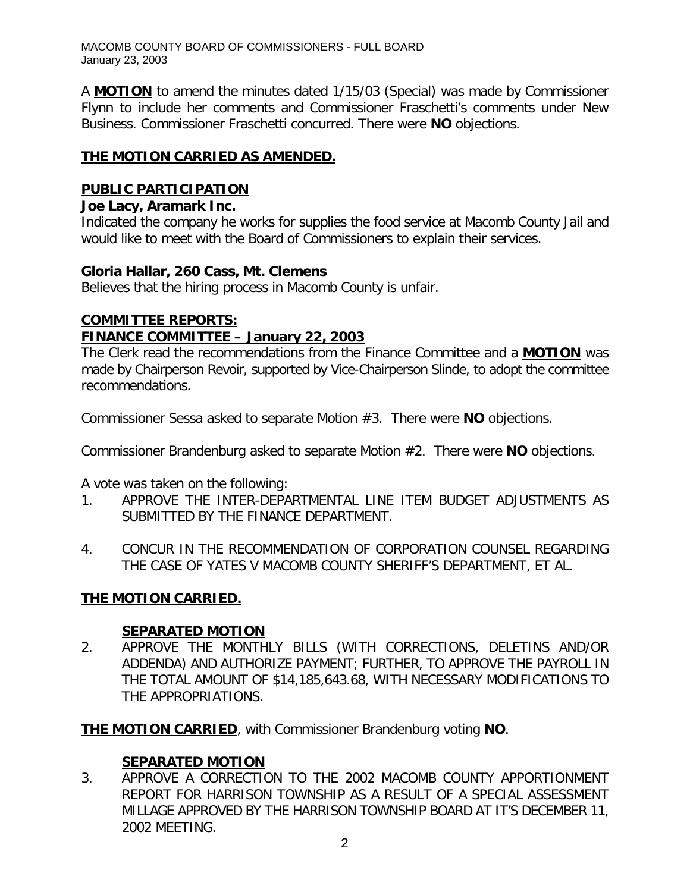MACOMB COUNTY BOARD OF COMMISSIONERS - FULL BOARD January 23, 2003

A **MOTION** to amend the minutes dated 1/15/03 (Special) was made by Commissioner Flynn to include her comments and Commissioner Fraschetti's comments under New Business. Commissioner Fraschetti concurred. There were **NO** objections.

## **THE MOTION CARRIED AS AMENDED.**

### **PUBLIC PARTICIPATION**

### *Joe Lacy, Aramark Inc.*

Indicated the company he works for supplies the food service at Macomb County Jail and would like to meet with the Board of Commissioners to explain their services.

### *Gloria Hallar, 260 Cass, Mt. Clemens*

Believes that the hiring process in Macomb County is unfair.

#### **COMMITTEE REPORTS:** *FINANCE COMMITTEE – January 22, 2003*

The Clerk read the recommendations from the Finance Committee and a **MOTION** was made by Chairperson Revoir, supported by Vice-Chairperson Slinde, to adopt the committee recommendations.

Commissioner Sessa asked to separate Motion #3. There were **NO** objections.

Commissioner Brandenburg asked to separate Motion #2. There were **NO** objections.

A vote was taken on the following:

- 1. APPROVE THE INTER-DEPARTMENTAL LINE ITEM BUDGET ADJUSTMENTS AS SUBMITTED BY THE FINANCE DEPARTMENT.
- 4. CONCUR IN THE RECOMMENDATION OF CORPORATION COUNSEL REGARDING THE CASE OF YATES V MACOMB COUNTY SHERIFF'S DEPARTMENT, ET AL.

### **THE MOTION CARRIED.**

### **SEPARATED MOTION**

2. APPROVE THE MONTHLY BILLS (WITH CORRECTIONS, DELETINS AND/OR ADDENDA) AND AUTHORIZE PAYMENT; FURTHER, TO APPROVE THE PAYROLL IN THE TOTAL AMOUNT OF \$14,185,643.68, WITH NECESSARY MODIFICATIONS TO THE APPROPRIATIONS.

**THE MOTION CARRIED**, with Commissioner Brandenburg voting **NO**.

### **SEPARATED MOTION**

3. APPROVE A CORRECTION TO THE 2002 MACOMB COUNTY APPORTIONMENT REPORT FOR HARRISON TOWNSHIP AS A RESULT OF A SPECIAL ASSESSMENT MILLAGE APPROVED BY THE HARRISON TOWNSHIP BOARD AT IT'S DECEMBER 11, 2002 MEETING.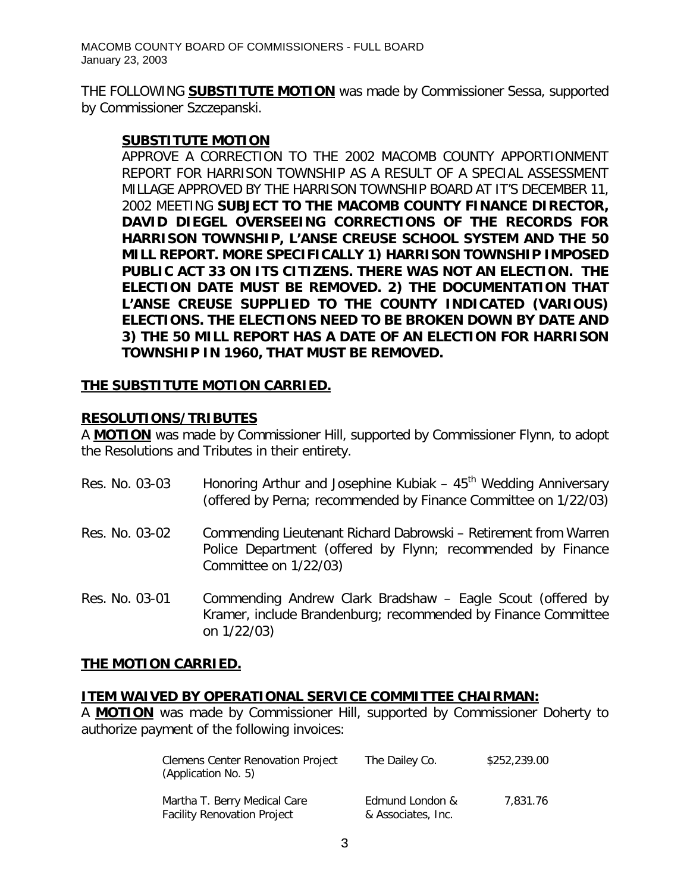THE FOLLOWING **SUBSTITUTE MOTION** was made by Commissioner Sessa, supported by Commissioner Szczepanski.

#### **SUBSTITUTE MOTION**

APPROVE A CORRECTION TO THE 2002 MACOMB COUNTY APPORTIONMENT REPORT FOR HARRISON TOWNSHIP AS A RESULT OF A SPECIAL ASSESSMENT MILLAGE APPROVED BY THE HARRISON TOWNSHIP BOARD AT IT'S DECEMBER 11, 2002 MEETING *SUBJECT TO THE MACOMB COUNTY FINANCE DIRECTOR, DAVID DIEGEL OVERSEEING CORRECTIONS OF THE RECORDS FOR HARRISON TOWNSHIP, L'ANSE CREUSE SCHOOL SYSTEM AND THE 50 MILL REPORT. MORE SPECIFICALLY 1) HARRISON TOWNSHIP IMPOSED PUBLIC ACT 33 ON ITS CITIZENS. THERE WAS NOT AN ELECTION. THE ELECTION DATE MUST BE REMOVED. 2) THE DOCUMENTATION THAT L'ANSE CREUSE SUPPLIED TO THE COUNTY INDICATED (VARIOUS) ELECTIONS. THE ELECTIONS NEED TO BE BROKEN DOWN BY DATE AND 3) THE 50 MILL REPORT HAS A DATE OF AN ELECTION FOR HARRISON TOWNSHIP IN 1960, THAT MUST BE REMOVED.*

#### **THE SUBSTITUTE MOTION CARRIED.**

#### **RESOLUTIONS/TRIBUTES**

A **MOTION** was made by Commissioner Hill, supported by Commissioner Flynn, to adopt the Resolutions and Tributes in their entirety.

| Res. No. 03-03 | Honoring Arthur and Josephine Kubiak $-45$ <sup>th</sup> Wedding Anniversary<br>(offered by Perna; recommended by Finance Committee on 1/22/03)          |
|----------------|----------------------------------------------------------------------------------------------------------------------------------------------------------|
| Res. No. 03-02 | Commending Lieutenant Richard Dabrowski - Retirement from Warren<br>Police Department (offered by Flynn; recommended by Finance<br>Committee on 1/22/03) |
| Res. No. 03-01 | Commending Andrew Clark Bradshaw - Eagle Scout (offered by<br>Kramer, include Brandenburg; recommended by Finance Committee<br>on 1/22/03)               |

#### **THE MOTION CARRIED.**

#### **ITEM WAIVED BY OPERATIONAL SERVICE COMMITTEE CHAIRMAN:**

A **MOTION** was made by Commissioner Hill, supported by Commissioner Doherty to authorize payment of the following invoices:

| <b>Clemens Center Renovation Project</b><br>(Application No. 5)    | The Dailey Co.                        | \$252,239.00 |
|--------------------------------------------------------------------|---------------------------------------|--------------|
| Martha T. Berry Medical Care<br><b>Facility Renovation Project</b> | Edmund London &<br>& Associates, Inc. | 7.831.76     |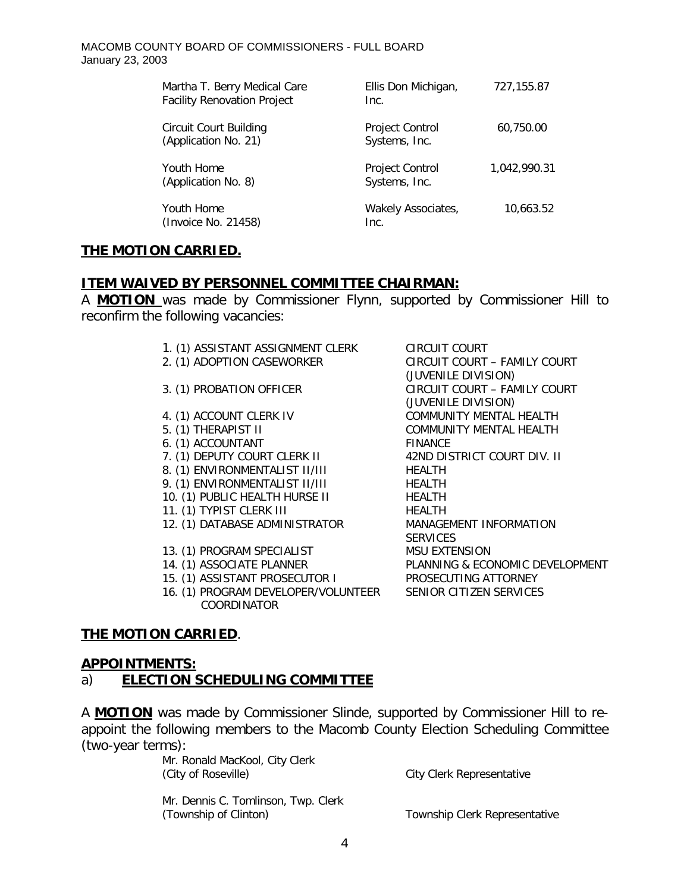| Martha T. Berry Medical Care<br><b>Facility Renovation Project</b> | Ellis Don Michigan,<br>Inc.             | 727,155.87   |
|--------------------------------------------------------------------|-----------------------------------------|--------------|
| <b>Circuit Court Building</b><br>(Application No. 21)              | Project Control<br>Systems, Inc.        | 60,750.00    |
| Youth Home<br>(Application No. 8)                                  | <b>Project Control</b><br>Systems, Inc. | 1.042.990.31 |
| Youth Home<br>(Invoice No. 21458)                                  | Wakely Associates,<br>Inc.              | 10,663.52    |

### **THE MOTION CARRIED.**

#### **ITEM WAIVED BY PERSONNEL COMMITTEE CHAIRMAN:**

A **MOTION** was made by Commissioner Flynn, supported by Commissioner Hill to reconfirm the following vacancies:

- 1. (1) ASSISTANT ASSIGNMENT CLERK CIRCUIT COURT
- 
- 
- 
- 
- 6. (1) ACCOUNTANT FINANCE
- 
- 8. (1) ENVIRONMENTALIST II/III HEALTH
- 9. (1) ENVIRONMENTALIST II/III HEALTH
- 10. (1) PUBLIC HEALTH HURSE II HEALTH
- 11. (1) TYPIST CLERK III HEALTH
- 12. (1) DATABASE ADMINISTRATOR MANAGEMENT INFORMATION
- 13. (1) PROGRAM SPECIALIST MSU EXTENSION
- 
- 
- 16. (1) PROGRAM DEVELOPER/VOLUNTEER SENIOR CITIZEN SERVICES COORDINATOR
- 2. (1) ADOPTION CASEWORKER CIRCUIT COURT FAMILY COURT (JUVENILE DIVISION) 3. (1) PROBATION OFFICER CIRCUIT COURT – FAMILY COURT (JUVENILE DIVISION) 4. (1) ACCOUNT CLERK IV COMMUNITY MENTAL HEALTH 5. (1) THERAPIST II COMMUNITY MENTAL HEALTH 7. (1) DEPUTY COURT CLERK II 42ND DISTRICT COURT DIV. II **SERVICES** 14. (1) ASSOCIATE PLANNER PLANNING & ECONOMIC DEVELOPMENT 15. (1) ASSISTANT PROSECUTOR I PROSECUTING ATTORNEY

#### **THE MOTION CARRIED**.

#### **APPOINTMENTS:**

#### a) **ELECTION SCHEDULING COMMITTEE**

A **MOTION** was made by Commissioner Slinde, supported by Commissioner Hill to reappoint the following members to the Macomb County Election Scheduling Committee (two-year terms):

> Mr. Ronald MacKool, City Clerk (City of Roseville) City Clerk Representative

Mr. Dennis C. Tomlinson, Twp. Clerk (Township of Clinton) Township Clerk Representative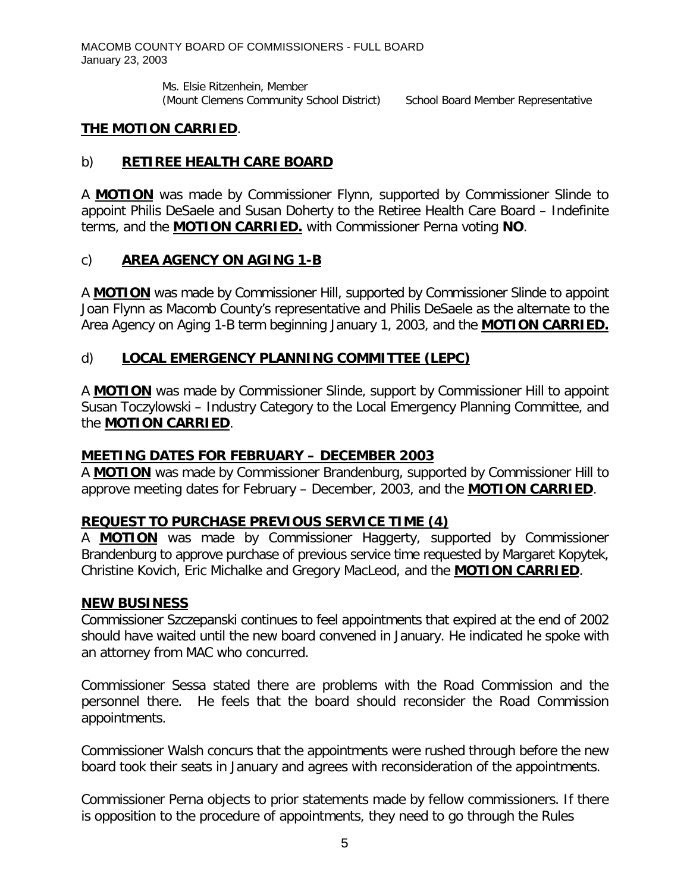Ms. Elsie Ritzenhein, Member (Mount Clemens Community School District) School Board Member Representative

## **THE MOTION CARRIED**.

## b) **RETIREE HEALTH CARE BOARD**

A **MOTION** was made by Commissioner Flynn, supported by Commissioner Slinde to appoint Philis DeSaele and Susan Doherty to the Retiree Health Care Board – Indefinite terms, and the **MOTION CARRIED.** with Commissioner Perna voting **NO**.

# c) **AREA AGENCY ON AGING 1-B**

A **MOTION** was made by Commissioner Hill, supported by Commissioner Slinde to appoint Joan Flynn as Macomb County's representative and Philis DeSaele as the alternate to the Area Agency on Aging 1-B term beginning January 1, 2003, and the **MOTION CARRIED.**

# d) **LOCAL EMERGENCY PLANNING COMMITTEE (LEPC)**

A **MOTION** was made by Commissioner Slinde, support by Commissioner Hill to appoint Susan Toczylowski – Industry Category to the Local Emergency Planning Committee, and the **MOTION CARRIED**.

### **MEETING DATES FOR FEBRUARY – DECEMBER 2003**

A **MOTION** was made by Commissioner Brandenburg, supported by Commissioner Hill to approve meeting dates for February – December, 2003, and the **MOTION CARRIED**.

# **REQUEST TO PURCHASE PREVIOUS SERVICE TIME (4)**

A **MOTION** was made by Commissioner Haggerty, supported by Commissioner Brandenburg to approve purchase of previous service time requested by Margaret Kopytek, Christine Kovich, Eric Michalke and Gregory MacLeod, and the **MOTION CARRIED**.

### **NEW BUSINESS**

Commissioner Szczepanski continues to feel appointments that expired at the end of 2002 should have waited until the new board convened in January. He indicated he spoke with an attorney from MAC who concurred.

Commissioner Sessa stated there are problems with the Road Commission and the personnel there. He feels that the board should reconsider the Road Commission appointments.

Commissioner Walsh concurs that the appointments were rushed through before the new board took their seats in January and agrees with reconsideration of the appointments.

Commissioner Perna objects to prior statements made by fellow commissioners. If there is opposition to the procedure of appointments, they need to go through the Rules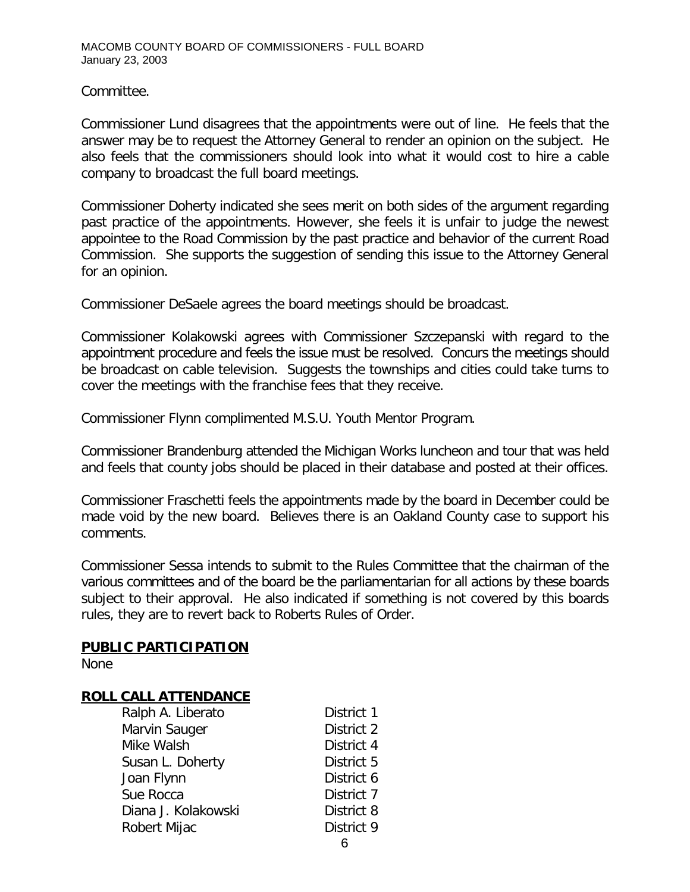Committee.

Commissioner Lund disagrees that the appointments were out of line. He feels that the answer may be to request the Attorney General to render an opinion on the subject. He also feels that the commissioners should look into what it would cost to hire a cable company to broadcast the full board meetings.

Commissioner Doherty indicated she sees merit on both sides of the argument regarding past practice of the appointments. However, she feels it is unfair to judge the newest appointee to the Road Commission by the past practice and behavior of the current Road Commission. She supports the suggestion of sending this issue to the Attorney General for an opinion.

Commissioner DeSaele agrees the board meetings should be broadcast.

Commissioner Kolakowski agrees with Commissioner Szczepanski with regard to the appointment procedure and feels the issue must be resolved. Concurs the meetings should be broadcast on cable television. Suggests the townships and cities could take turns to cover the meetings with the franchise fees that they receive.

Commissioner Flynn complimented M.S.U. Youth Mentor Program.

Commissioner Brandenburg attended the Michigan Works luncheon and tour that was held and feels that county jobs should be placed in their database and posted at their offices.

Commissioner Fraschetti feels the appointments made by the board in December could be made void by the new board. Believes there is an Oakland County case to support his comments.

Commissioner Sessa intends to submit to the Rules Committee that the chairman of the various committees and of the board be the parliamentarian for all actions by these boards subject to their approval. He also indicated if something is not covered by this boards rules, they are to revert back to Roberts Rules of Order.

#### **PUBLIC PARTICIPATION**

None

### **ROLL CALL ATTENDANCE**

| Ralph A. Liberato   | District 1 |
|---------------------|------------|
| Marvin Sauger       | District 2 |
| Mike Walsh          | District 4 |
| Susan L. Doherty    | District 5 |
| Joan Flynn          | District 6 |
| Sue Rocca           | District 7 |
| Diana J. Kolakowski | District 8 |
| Robert Mijac        | District 9 |
|                     |            |